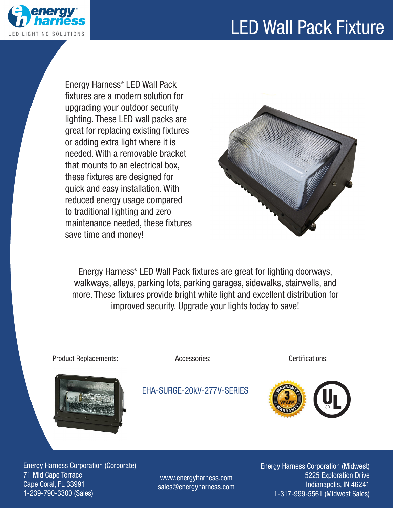## LED Wall Pack Fixture



Energy Harness® LED Wall Pack fixtures are a modern solution for upgrading your outdoor security lighting. These LED wall packs are great for replacing existing fixtures or adding extra light where it is needed. With a removable bracket that mounts to an electrical box, these fixtures are designed for quick and easy installation. With reduced energy usage compared to traditional lighting and zero maintenance needed, these fixtures save time and money!



Energy Harness® LED Wall Pack fixtures are great for lighting doorways, walkways, alleys, parking lots, parking garages, sidewalks, stairwells, and more. These fixtures provide bright white light and excellent distribution for improved security. Upgrade your lights today to save!



Product Replacements:

EHA-SURGE-20kV-277V-SERIES

Accessories: Certifications:



Energy Harness Corporation (Corporate) 71 Mid Cape Terrace Cape Coral, FL 33991 1-239-790-3300 (Sales)

www.energyharness.com sales@energyharness.com Energy Harness Corporation (Midwest) 5225 Exploration Drive Indianapolis, IN 46241 1-317-999-5561 (Midwest Sales)